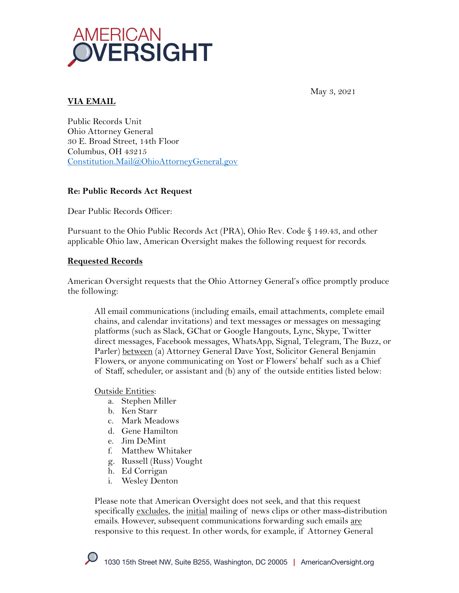

**VIA EMAIL**

May 3, 2021

Public Records Unit Ohio Attorney General 30 E. Broad Street, 14th Floor Columbus, OH 43215 Constitution.Mail@OhioAttorneyGeneral.gov

### **Re: Public Records Act Request**

Dear Public Records Officer:

Pursuant to the Ohio Public Records Act (PRA), Ohio Rev. Code § 149.43, and other applicable Ohio law, American Oversight makes the following request for records.

## **Requested Records**

American Oversight requests that the Ohio Attorney General's office promptly produce the following:

All email communications (including emails, email attachments, complete email chains, and calendar invitations) and text messages or messages on messaging platforms (such as Slack, GChat or Google Hangouts, Lync, Skype, Twitter direct messages, Facebook messages, WhatsApp, Signal, Telegram, The Buzz, or Parler) between (a) Attorney General Dave Yost, Solicitor General Benjamin Flowers, or anyone communicating on Yost or Flowers' behalf such as a Chief of Staff, scheduler, or assistant and (b) any of the outside entities listed below:

### Outside Entities:

- a. Stephen Miller
- b. Ken Starr
- c. Mark Meadows
- d. Gene Hamilton
- e. Jim DeMint
- f. Matthew Whitaker
- g. Russell (Russ) Vought
- h. Ed Corrigan
- i. Wesley Denton

Please note that American Oversight does not seek, and that this request specifically excludes, the initial mailing of news clips or other mass-distribution emails. However, subsequent communications forwarding such emails are responsive to this request. In other words, for example, if Attorney General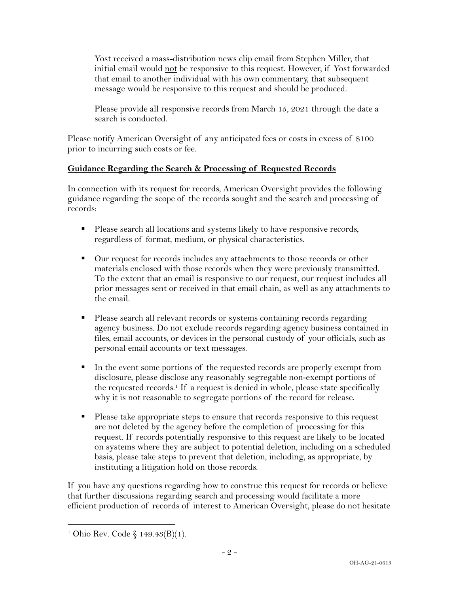Yost received a mass-distribution news clip email from Stephen Miller, that initial email would not be responsive to this request. However, if Yost forwarded that email to another individual with his own commentary, that subsequent message would be responsive to this request and should be produced.

Please provide all responsive records from March 15, 2021 through the date a search is conducted.

Please notify American Oversight of any anticipated fees or costs in excess of \$100 prior to incurring such costs or fee.

# **Guidance Regarding the Search & Processing of Requested Records**

In connection with its request for records, American Oversight provides the following guidance regarding the scope of the records sought and the search and processing of records:

- Please search all locations and systems likely to have responsive records, regardless of format, medium, or physical characteristics.
- Our request for records includes any attachments to those records or other materials enclosed with those records when they were previously transmitted. To the extent that an email is responsive to our request, our request includes all prior messages sent or received in that email chain, as well as any attachments to the email.
- Please search all relevant records or systems containing records regarding agency business. Do not exclude records regarding agency business contained in files, email accounts, or devices in the personal custody of your officials, such as personal email accounts or text messages.
- In the event some portions of the requested records are properly exempt from disclosure, please disclose any reasonably segregable non-exempt portions of the requested records.<sup>1</sup> If a request is denied in whole, please state specifically why it is not reasonable to segregate portions of the record for release.
- Please take appropriate steps to ensure that records responsive to this request are not deleted by the agency before the completion of processing for this request. If records potentially responsive to this request are likely to be located on systems where they are subject to potential deletion, including on a scheduled basis, please take steps to prevent that deletion, including, as appropriate, by instituting a litigation hold on those records.

If you have any questions regarding how to construe this request for records or believe that further discussions regarding search and processing would facilitate a more efficient production of records of interest to American Oversight, please do not hesitate

<sup>&</sup>lt;sup>1</sup> Ohio Rev. Code § 149.43(B)(1).